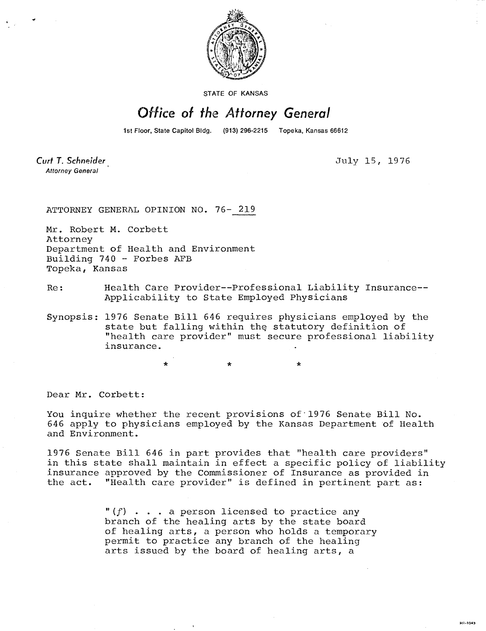

STATE OF KANSAS

## Office of the Attorney General

1st Floor, State Capitol Bldg. (913) 296-2215 Topeka, Kansas 66612

Curt T. Schneider **Attorney General** 

July 15, 1976

HI-1043

ATTORNEY GENERAL OPINION NO. 76- 219

Mr. Robert M. Corbett Attorney Department of Health and Environment Building 740 - Forbes AFB Topeka, Kansas

\*

- Re: Health Care Provider--Professional Liability Insurance-- Applicability to State Employed Physicians
- Synopsis: 1976 Senate Bill 646 requires physicians employed by the state but falling within the statutory definition of "health care provider" must secure professional liability insurance.

Dear Mr. Corbett:

You inquire whether the recent provisions of 1976 Senate Bill No. 646 apply to physicians employed by the Kansas Department of Health and Environment.

1976 Senate Bill 646 in part provides that "health care providers" in this state shall maintain in effect a specific policy of liability insurance approved by the Commissioner of Insurance as provided in the act. "Health care provider" is defined in pertinent part as:

> $" (f) \tldots$  a person licensed to practice any branch of the healing arts by the state board of healing arts, a person who holds a temporary permit to practice any branch of the healing arts issued by the board of healing arts, a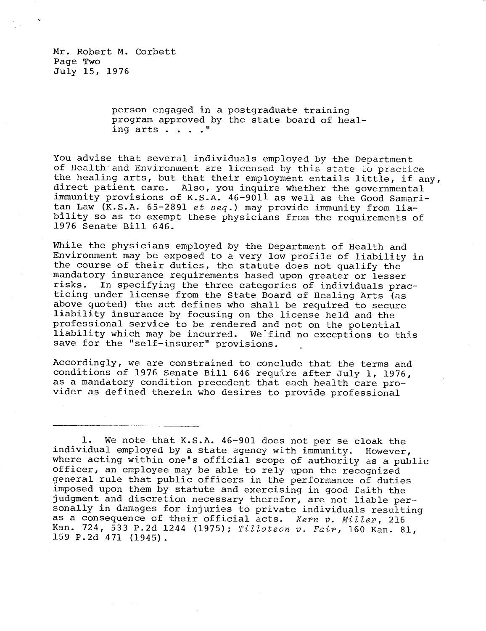person engaged in a postgraduate training program approved by the state board of healing arts . . . ."

You advise that several individuals employed by the Department of Health and Environment are licensed by this state to practice the healing arts, but that their employment entails little, if any, direct patient care. Also, you inquire whether the governmental immunity provisions of K.S.A. 46-9011 as well as the Good Samaritan Law (K.S.A. 65-2891 et seq.) may provide immunity from liability so as to exempt these physicians from the requirements of 1976 Senate Bill 646.

While the physicians employed by the Department of Health and Environment may be exposed to a very low profile of liability in the course of their duties, the statute does not qualify the mandatory insurance requirements based upon greater or lesser<br>risks. In specifying the three categories of individuals prae In specifying the three categories of individuals practicing under license from the State Board of Healing Arts (as above quoted) the act defines who shall be required to secure liability insurance by focusing on the license held and the professional service to be rendered and not on the potential liability which may be incurred. We find no exceptions to this save for the "self-insurer" provisions.

Accordingly, we are constrained to conclude that the terms and conditions of 1976 Senate Bill 646 require after July 1, 1976, as a mandatory condition precedent that each health care provider as defined therein who desires to provide professional

1. We note that K.S.A. 46-901 does not per se cloak the individual employed by a state agency with immunity. However, where acting within one's official scope of authority as a public officer, an employee may be able to rely upon the recognized general rule that public officers in the performance of duties imposed upon them by statute and exercising in good faith the judgment and discretion necessary therefor, are not liable personally in damages for injuries to private individuals resulting as a consequence of their official acts. Kern v. Miller, 216 Kan. 724, 533 P.2d 1244 (1975); Tillotson v. Fair, 160 Kan. 81, 159 P.2d 471 (1945).